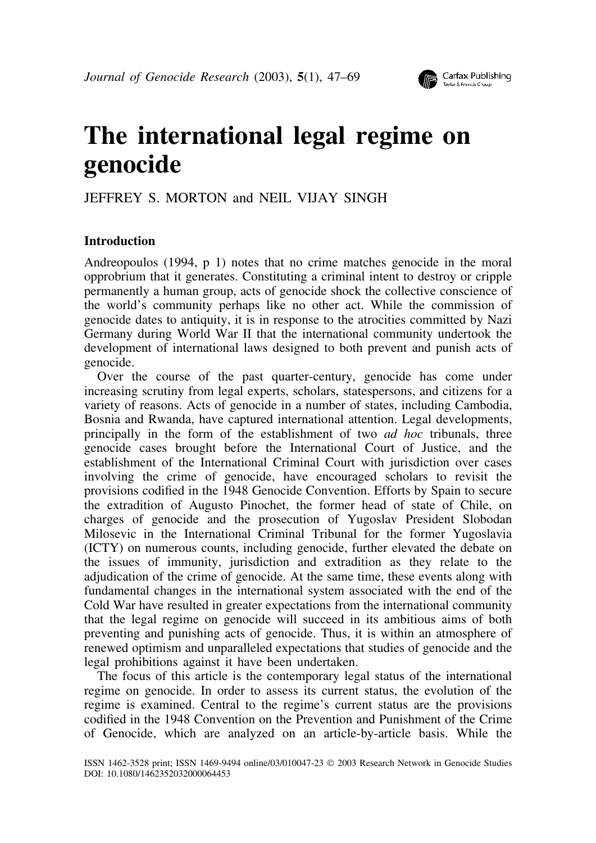

# **The international legal regime on genocide**

JEFFREY S. MORTON and NEIL VIJAY SINGH

# **Introduction**

Andreopoulos (1994, p 1) notes that no crime matches genocide in the moral opprobrium that it generates. Constituting a criminal intent to destroy or cripple permanently a human group, acts of genocide shock the collective conscience of the world's community perhaps like no other act. While the commission of genocide dates to antiquity, it is in response to the atrocities committed by Nazi Germany during World War II that the international community undertook the development of international laws designed to both prevent and punish acts of genocide.

Over the course of the past quarter-century, genocide has come under increasing scrutiny from legal experts, scholars, statespersons, and citizens for a variety of reasons. Acts of genocide in a number of states, including Cambodia, Bosnia and Rwanda, have captured international attention. Legal developments, principally in the form of the establishment of two *ad hoc* tribunals, three genocide cases brought before the International Court of Justice, and the establishment of the International Criminal Court with jurisdiction over cases involving the crime of genocide, have encouraged scholars to revisit the provisions codified in the 1948 Genocide Convention. Efforts by Spain to secure the extradition of Augusto Pinochet, the former head of state of Chile, on charges of genocide and the prosecution of Yugoslav President Slobodan Milosevic in the International Criminal Tribunal for the former Yugoslavia (ICTY) on numerous counts, including genocide, further elevated the debate on the issues of immunity, jurisdiction and extradition as they relate to the adjudication of the crime of genocide. At the same time, these events along with fundamental changes in the international system associated with the end of the Cold War have resulted in greater expectations from the international community that the legal regime on genocide will succeed in its ambitious aims of both preventing and punishing acts of genocide. Thus, it is within an atmosphere of renewed optimism and unparalleled expectations that studies of genocide and the legal prohibitions against it have been undertaken.

The focus of this article is the contemporary legal status of the international regime on genocide. In order to assess its current status, the evolution of the regime is examined. Central to the regime's current status are the provisions codified in the 1948 Convention on the Prevention and Punishment of the Crime of Genocide, which are analyzed on an article-by-article basis. While the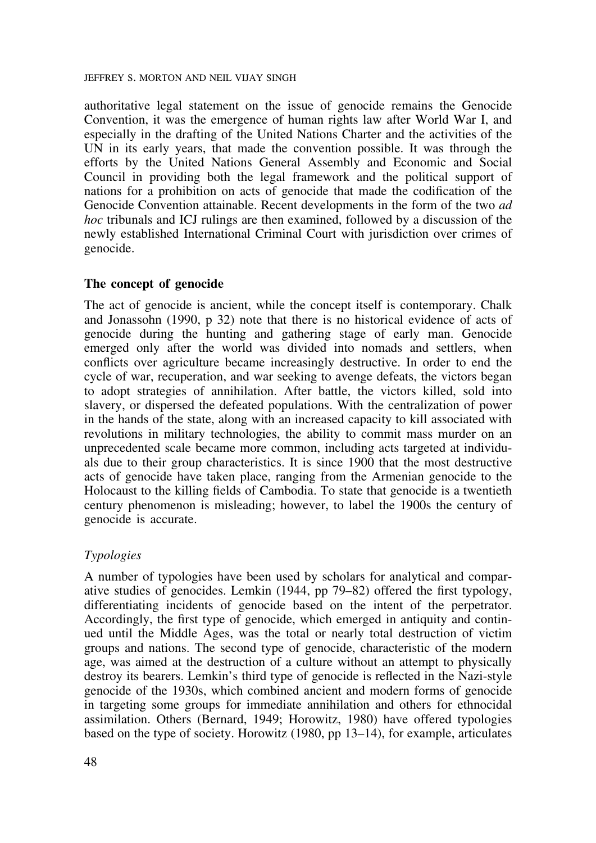authoritative legal statement on the issue of genocide remains the Genocide Convention, it was the emergence of human rights law after World War I, and especially in the drafting of the United Nations Charter and the activities of the UN in its early years, that made the convention possible. It was through the efforts by the United Nations General Assembly and Economic and Social Council in providing both the legal framework and the political support of nations for a prohibition on acts of genocide that made the codification of the Genocide Convention attainable. Recent developments in the form of the two *ad hoc* tribunals and ICJ rulings are then examined, followed by a discussion of the newly established International Criminal Court with jurisdiction over crimes of genocide.

# **The concept of genocide**

The act of genocide is ancient, while the concept itself is contemporary. Chalk and Jonassohn (1990, p 32) note that there is no historical evidence of acts of genocide during the hunting and gathering stage of early man. Genocide emerged only after the world was divided into nomads and settlers, when conflicts over agriculture became increasingly destructive. In order to end the cycle of war, recuperation, and war seeking to avenge defeats, the victors began to adopt strategies of annihilation. After battle, the victors killed, sold into slavery, or dispersed the defeated populations. With the centralization of power in the hands of the state, along with an increased capacity to kill associated with revolutions in military technologies, the ability to commit mass murder on an unprecedented scale became more common, including acts targeted at individuals due to their group characteristics. It is since 1900 that the most destructive acts of genocide have taken place, ranging from the Armenian genocide to the Holocaust to the killing fields of Cambodia. To state that genocide is a twentieth century phenomenon is misleading; however, to label the 1900s the century of genocide is accurate.

# *Typologies*

A number of typologies have been used by scholars for analytical and comparative studies of genocides. Lemkin (1944, pp 79–82) offered the first typology, differentiating incidents of genocide based on the intent of the perpetrator. Accordingly, the first type of genocide, which emerged in antiquity and continued until the Middle Ages, was the total or nearly total destruction of victim groups and nations. The second type of genocide, characteristic of the modern age, was aimed at the destruction of a culture without an attempt to physically destroy its bearers. Lemkin's third type of genocide is reflected in the Nazi-style genocide of the 1930s, which combined ancient and modern forms of genocide in targeting some groups for immediate annihilation and others for ethnocidal assimilation. Others (Bernard, 1949; Horowitz, 1980) have offered typologies based on the type of society. Horowitz (1980, pp 13–14), for example, articulates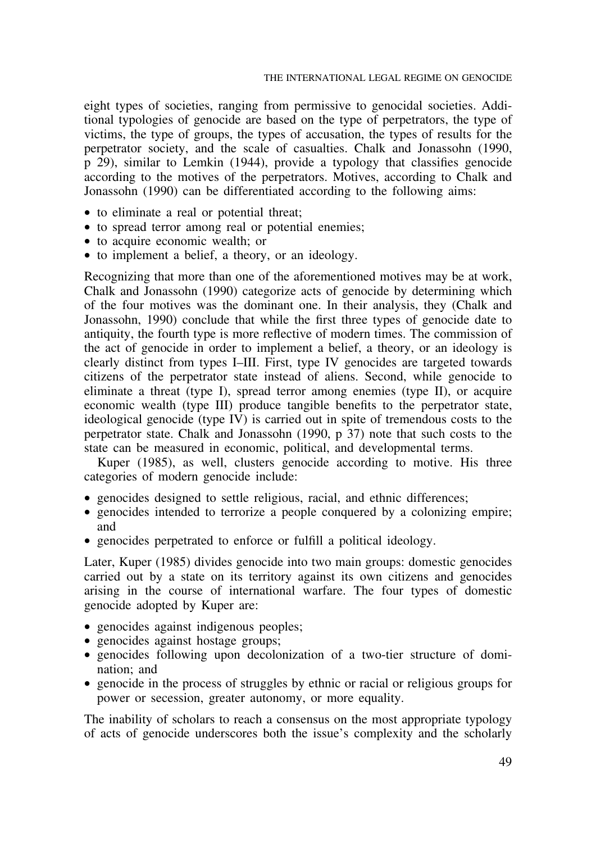eight types of societies, ranging from permissive to genocidal societies. Additional typologies of genocide are based on the type of perpetrators, the type of victims, the type of groups, the types of accusation, the types of results for the perpetrator society, and the scale of casualties. Chalk and Jonassohn (1990, p 29), similar to Lemkin (1944), provide a typology that classifies genocide according to the motives of the perpetrators. Motives, according to Chalk and Jonassohn (1990) can be differentiated according to the following aims:

- to eliminate a real or potential threat;
- to spread terror among real or potential enemies;
- to acquire economic wealth; or
- to implement a belief, a theory, or an ideology.

Recognizing that more than one of the aforementioned motives may be at work, Chalk and Jonassohn (1990) categorize acts of genocide by determining which of the four motives was the dominant one. In their analysis, they (Chalk and Jonassohn, 1990) conclude that while the first three types of genocide date to antiquity, the fourth type is more reflective of modern times. The commission of the act of genocide in order to implement a belief, a theory, or an ideology is clearly distinct from types I–III. First, type IV genocides are targeted towards citizens of the perpetrator state instead of aliens. Second, while genocide to eliminate a threat (type I), spread terror among enemies (type II), or acquire economic wealth (type III) produce tangible benefits to the perpetrator state, ideological genocide (type IV) is carried out in spite of tremendous costs to the perpetrator state. Chalk and Jonassohn (1990, p 37) note that such costs to the state can be measured in economic, political, and developmental terms.

Kuper (1985), as well, clusters genocide according to motive. His three categories of modern genocide include:

- genocides designed to settle religious, racial, and ethnic differences;
- genocides intended to terrorize a people conquered by a colonizing empire; and
- genocides perpetrated to enforce or fulfill a political ideology.

Later, Kuper (1985) divides genocide into two main groups: domestic genocides carried out by a state on its territory against its own citizens and genocides arising in the course of international warfare. The four types of domestic genocide adopted by Kuper are:

- genocides against indigenous peoples;
- genocides against hostage groups;
- genocides following upon decolonization of a two-tier structure of domination; and
- genocide in the process of struggles by ethnic or racial or religious groups for power or secession, greater autonomy, or more equality.

The inability of scholars to reach a consensus on the most appropriate typology of acts of genocide underscores both the issue's complexity and the scholarly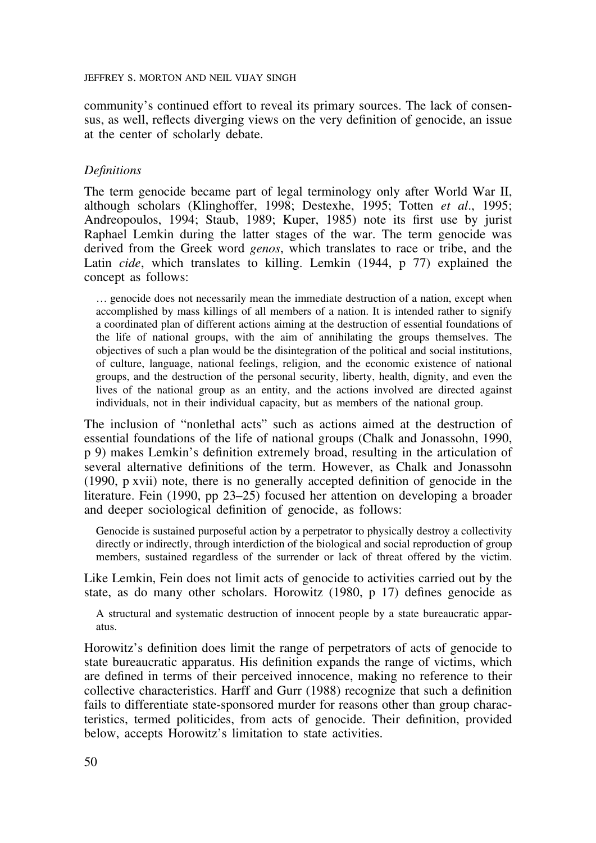community's continued effort to reveal its primary sources. The lack of consensus, as well, reflects diverging views on the very definition of genocide, an issue at the center of scholarly debate.

# *Definitions*

The term genocide became part of legal terminology only after World War II, although scholars (Klinghoffer, 1998; Destexhe, 1995; Totten *et al*., 1995; Andreopoulos, 1994; Staub, 1989; Kuper, 1985) note its first use by jurist Raphael Lemkin during the latter stages of the war. The term genocide was derived from the Greek word *genos*, which translates to race or tribe, and the Latin *cide*, which translates to killing. Lemkin (1944, p 77) explained the concept as follows:

… genocide does not necessarily mean the immediate destruction of a nation, except when accomplished by mass killings of all members of a nation. It is intended rather to signify a coordinated plan of different actions aiming at the destruction of essential foundations of the life of national groups, with the aim of annihilating the groups themselves. The objectives of such a plan would be the disintegration of the political and social institutions, of culture, language, national feelings, religion, and the economic existence of national groups, and the destruction of the personal security, liberty, health, dignity, and even the lives of the national group as an entity, and the actions involved are directed against individuals, not in their individual capacity, but as members of the national group.

The inclusion of "nonlethal acts" such as actions aimed at the destruction of essential foundations of the life of national groups (Chalk and Jonassohn, 1990, p 9) makes Lemkin's definition extremely broad, resulting in the articulation of several alternative definitions of the term. However, as Chalk and Jonassohn (1990, p xvii) note, there is no generally accepted definition of genocide in the literature. Fein (1990, pp 23–25) focused her attention on developing a broader and deeper sociological definition of genocide, as follows:

Genocide is sustained purposeful action by a perpetrator to physically destroy a collectivity directly or indirectly, through interdiction of the biological and social reproduction of group members, sustained regardless of the surrender or lack of threat offered by the victim.

Like Lemkin, Fein does not limit acts of genocide to activities carried out by the state, as do many other scholars. Horowitz (1980, p 17) defines genocide as

A structural and systematic destruction of innocent people by a state bureaucratic apparatus.

Horowitz's definition does limit the range of perpetrators of acts of genocide to state bureaucratic apparatus. His definition expands the range of victims, which are defined in terms of their perceived innocence, making no reference to their collective characteristics. Harff and Gurr (1988) recognize that such a definition fails to differentiate state-sponsored murder for reasons other than group characteristics, termed politicides, from acts of genocide. Their definition, provided below, accepts Horowitz's limitation to state activities.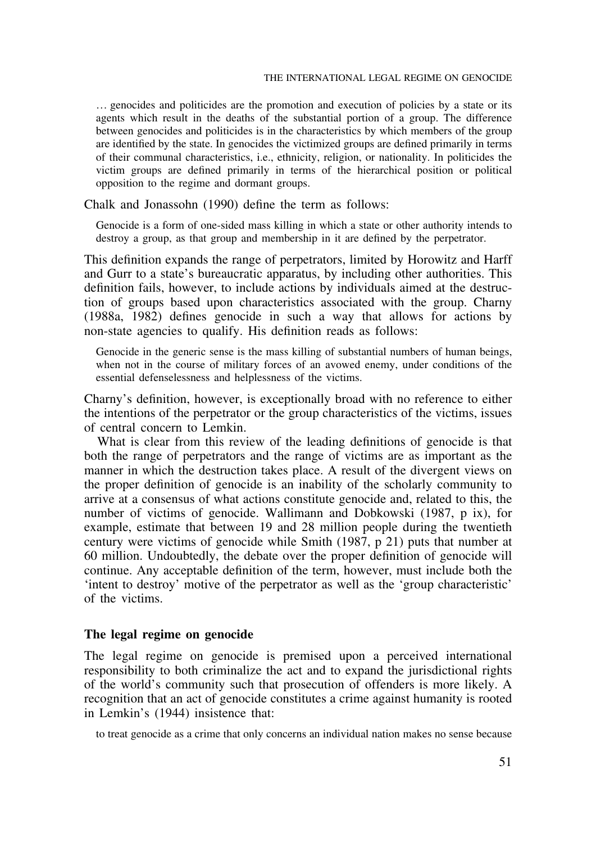… genocides and politicides are the promotion and execution of policies by a state or its agents which result in the deaths of the substantial portion of a group. The difference between genocides and politicides is in the characteristics by which members of the group are identified by the state. In genocides the victimized groups are defined primarily in terms of their communal characteristics, i.e., ethnicity, religion, or nationality. In politicides the victim groups are defined primarily in terms of the hierarchical position or political opposition to the regime and dormant groups.

Chalk and Jonassohn (1990) define the term as follows:

Genocide is a form of one-sided mass killing in which a state or other authority intends to destroy a group, as that group and membership in it are defined by the perpetrator.

This definition expands the range of perpetrators, limited by Horowitz and Harff and Gurr to a state's bureaucratic apparatus, by including other authorities. This definition fails, however, to include actions by individuals aimed at the destruction of groups based upon characteristics associated with the group. Charny (1988a, 1982) defines genocide in such a way that allows for actions by non-state agencies to qualify. His definition reads as follows:

Genocide in the generic sense is the mass killing of substantial numbers of human beings, when not in the course of military forces of an avowed enemy, under conditions of the essential defenselessness and helplessness of the victims.

Charny's definition, however, is exceptionally broad with no reference to either the intentions of the perpetrator or the group characteristics of the victims, issues of central concern to Lemkin.

What is clear from this review of the leading definitions of genocide is that both the range of perpetrators and the range of victims are as important as the manner in which the destruction takes place. A result of the divergent views on the proper definition of genocide is an inability of the scholarly community to arrive at a consensus of what actions constitute genocide and, related to this, the number of victims of genocide. Wallimann and Dobkowski (1987, p ix), for example, estimate that between 19 and 28 million people during the twentieth century were victims of genocide while Smith (1987, p 21) puts that number at 60 million. Undoubtedly, the debate over the proper definition of genocide will continue. Any acceptable definition of the term, however, must include both the 'intent to destroy' motive of the perpetrator as well as the 'group characteristic' of the victims.

## **The legal regime on genocide**

The legal regime on genocide is premised upon a perceived international responsibility to both criminalize the act and to expand the jurisdictional rights of the world's community such that prosecution of offenders is more likely. A recognition that an act of genocide constitutes a crime against humanity is rooted in Lemkin's (1944) insistence that:

to treat genocide as a crime that only concerns an individual nation makes no sense because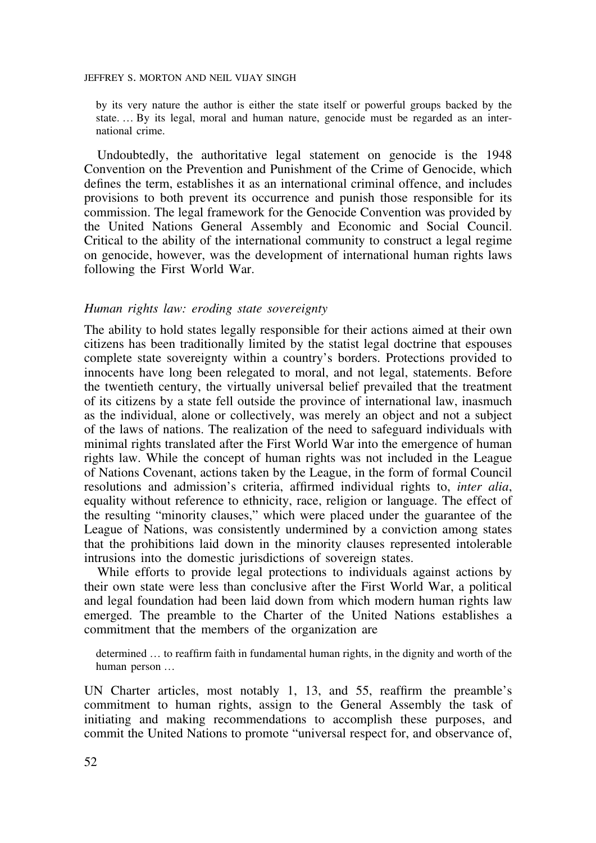by its very nature the author is either the state itself or powerful groups backed by the state. … By its legal, moral and human nature, genocide must be regarded as an international crime.

Undoubtedly, the authoritative legal statement on genocide is the 1948 Convention on the Prevention and Punishment of the Crime of Genocide, which defines the term, establishes it as an international criminal offence, and includes provisions to both prevent its occurrence and punish those responsible for its commission. The legal framework for the Genocide Convention was provided by the United Nations General Assembly and Economic and Social Council. Critical to the ability of the international community to construct a legal regime on genocide, however, was the development of international human rights laws following the First World War.

## *Human rights law: eroding state sovereignty*

The ability to hold states legally responsible for their actions aimed at their own citizens has been traditionally limited by the statist legal doctrine that espouses complete state sovereignty within a country's borders. Protections provided to innocents have long been relegated to moral, and not legal, statements. Before the twentieth century, the virtually universal belief prevailed that the treatment of its citizens by a state fell outside the province of international law, inasmuch as the individual, alone or collectively, was merely an object and not a subject of the laws of nations. The realization of the need to safeguard individuals with minimal rights translated after the First World War into the emergence of human rights law. While the concept of human rights was not included in the League of Nations Covenant, actions taken by the League, in the form of formal Council resolutions and admission's criteria, affirmed individual rights to, *inter alia*, equality without reference to ethnicity, race, religion or language. The effect of the resulting "minority clauses," which were placed under the guarantee of the League of Nations, was consistently undermined by a conviction among states that the prohibitions laid down in the minority clauses represented intolerable intrusions into the domestic jurisdictions of sovereign states.

While efforts to provide legal protections to individuals against actions by their own state were less than conclusive after the First World War, a political and legal foundation had been laid down from which modern human rights law emerged. The preamble to the Charter of the United Nations establishes a commitment that the members of the organization are

determined … to reaffirm faith in fundamental human rights, in the dignity and worth of the human person …

UN Charter articles, most notably 1, 13, and 55, reaffirm the preamble's commitment to human rights, assign to the General Assembly the task of initiating and making recommendations to accomplish these purposes, and commit the United Nations to promote "universal respect for, and observance of,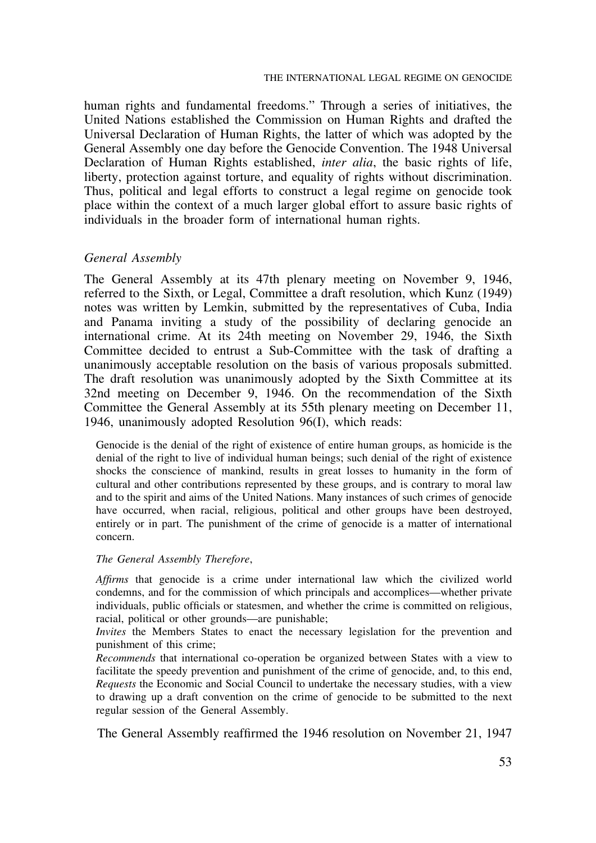human rights and fundamental freedoms." Through a series of initiatives, the United Nations established the Commission on Human Rights and drafted the Universal Declaration of Human Rights, the latter of which was adopted by the General Assembly one day before the Genocide Convention. The 1948 Universal Declaration of Human Rights established, *inter alia*, the basic rights of life, liberty, protection against torture, and equality of rights without discrimination. Thus, political and legal efforts to construct a legal regime on genocide took place within the context of a much larger global effort to assure basic rights of individuals in the broader form of international human rights.

## *General Assembly*

The General Assembly at its 47th plenary meeting on November 9, 1946, referred to the Sixth, or Legal, Committee a draft resolution, which Kunz (1949) notes was written by Lemkin, submitted by the representatives of Cuba, India and Panama inviting a study of the possibility of declaring genocide an international crime. At its 24th meeting on November 29, 1946, the Sixth Committee decided to entrust a Sub-Committee with the task of drafting a unanimously acceptable resolution on the basis of various proposals submitted. The draft resolution was unanimously adopted by the Sixth Committee at its 32nd meeting on December 9, 1946. On the recommendation of the Sixth Committee the General Assembly at its 55th plenary meeting on December 11, 1946, unanimously adopted Resolution 96(I), which reads:

Genocide is the denial of the right of existence of entire human groups, as homicide is the denial of the right to live of individual human beings; such denial of the right of existence shocks the conscience of mankind, results in great losses to humanity in the form of cultural and other contributions represented by these groups, and is contrary to moral law and to the spirit and aims of the United Nations. Many instances of such crimes of genocide have occurred, when racial, religious, political and other groups have been destroyed, entirely or in part. The punishment of the crime of genocide is a matter of international concern.

## *The General Assembly Therefore*,

*Affirms* that genocide is a crime under international law which the civilized world condemns, and for the commission of which principals and accomplices—whether private individuals, public officials or statesmen, and whether the crime is committed on religious, racial, political or other grounds—are punishable;

*Invites* the Members States to enact the necessary legislation for the prevention and punishment of this crime;

*Recommends* that international co-operation be organized between States with a view to facilitate the speedy prevention and punishment of the crime of genocide, and, to this end, *Requests* the Economic and Social Council to undertake the necessary studies, with a view to drawing up a draft convention on the crime of genocide to be submitted to the next regular session of the General Assembly.

The General Assembly reaffirmed the 1946 resolution on November 21, 1947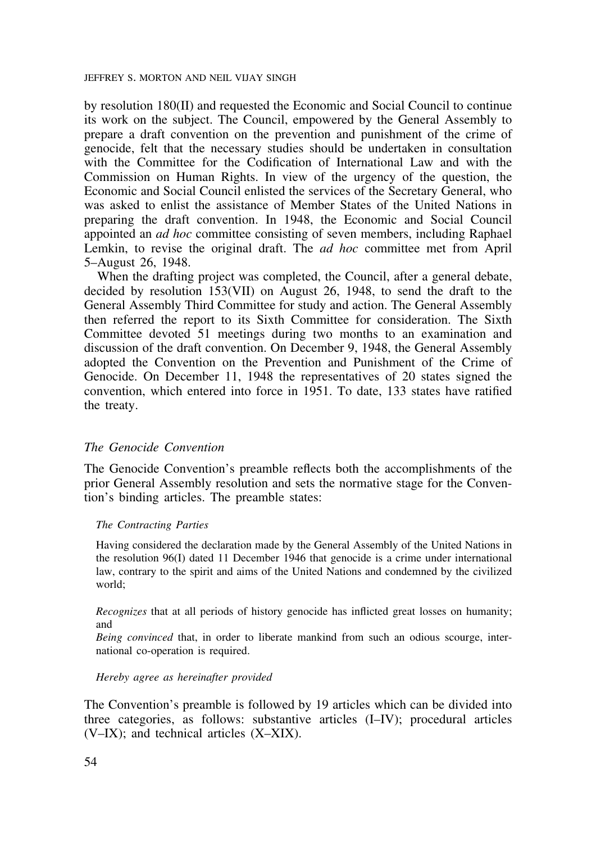by resolution 180(II) and requested the Economic and Social Council to continue its work on the subject. The Council, empowered by the General Assembly to prepare a draft convention on the prevention and punishment of the crime of genocide, felt that the necessary studies should be undertaken in consultation with the Committee for the Codification of International Law and with the Commission on Human Rights. In view of the urgency of the question, the Economic and Social Council enlisted the services of the Secretary General, who was asked to enlist the assistance of Member States of the United Nations in preparing the draft convention. In 1948, the Economic and Social Council appointed an *ad hoc* committee consisting of seven members, including Raphael Lemkin, to revise the original draft. The *ad hoc* committee met from April 5–August 26, 1948.

When the drafting project was completed, the Council, after a general debate, decided by resolution 153(VII) on August 26, 1948, to send the draft to the General Assembly Third Committee for study and action. The General Assembly then referred the report to its Sixth Committee for consideration. The Sixth Committee devoted 51 meetings during two months to an examination and discussion of the draft convention. On December 9, 1948, the General Assembly adopted the Convention on the Prevention and Punishment of the Crime of Genocide. On December 11, 1948 the representatives of 20 states signed the convention, which entered into force in 1951. To date, 133 states have ratified the treaty.

## *The Genocide Convention*

The Genocide Convention's preamble reflects both the accomplishments of the prior General Assembly resolution and sets the normative stage for the Convention's binding articles. The preamble states:

#### *The Contracting Parties*

Having considered the declaration made by the General Assembly of the United Nations in the resolution 96(I) dated 11 December 1946 that genocide is a crime under international law, contrary to the spirit and aims of the United Nations and condemned by the civilized world;

*Recognizes* that at all periods of history genocide has inflicted great losses on humanity; and

*Being convinced* that, in order to liberate mankind from such an odious scourge, international co-operation is required.

#### *Hereby agree as hereinafter provided*

The Convention's preamble is followed by 19 articles which can be divided into three categories, as follows: substantive articles (I–IV); procedural articles (V–IX); and technical articles (X–XIX).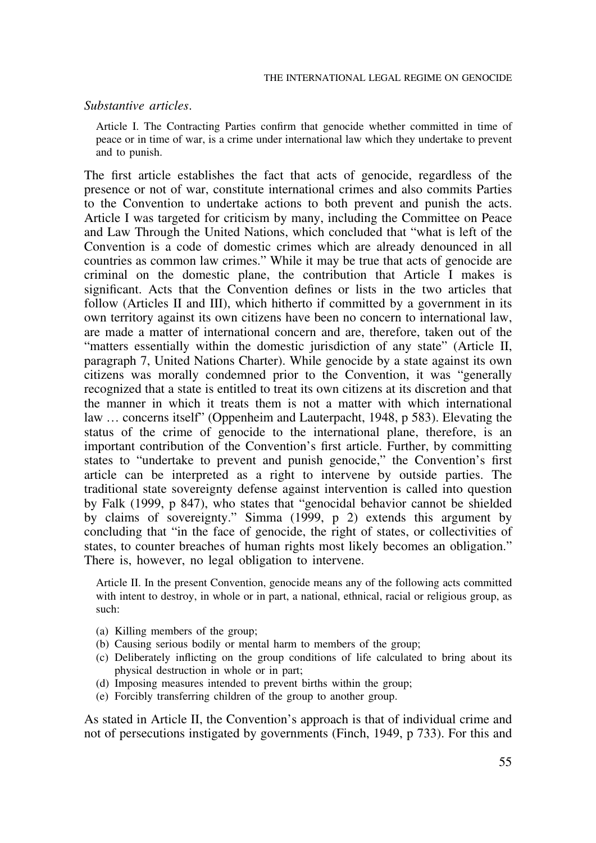### *Substantive articles*.

Article I. The Contracting Parties confirm that genocide whether committed in time of peace or in time of war, is a crime under international law which they undertake to prevent and to punish.

The first article establishes the fact that acts of genocide, regardless of the presence or not of war, constitute international crimes and also commits Parties to the Convention to undertake actions to both prevent and punish the acts. Article I was targeted for criticism by many, including the Committee on Peace and Law Through the United Nations, which concluded that "what is left of the Convention is a code of domestic crimes which are already denounced in all countries as common law crimes." While it may be true that acts of genocide are criminal on the domestic plane, the contribution that Article I makes is significant. Acts that the Convention defines or lists in the two articles that follow (Articles II and III), which hitherto if committed by a government in its own territory against its own citizens have been no concern to international law, are made a matter of international concern and are, therefore, taken out of the "matters essentially within the domestic jurisdiction of any state" (Article II, paragraph 7, United Nations Charter). While genocide by a state against its own citizens was morally condemned prior to the Convention, it was "generally recognized that a state is entitled to treat its own citizens at its discretion and that the manner in which it treats them is not a matter with which international law … concerns itself" (Oppenheim and Lauterpacht, 1948, p 583). Elevating the status of the crime of genocide to the international plane, therefore, is an important contribution of the Convention's first article. Further, by committing states to "undertake to prevent and punish genocide," the Convention's first article can be interpreted as a right to intervene by outside parties. The traditional state sovereignty defense against intervention is called into question by Falk (1999, p 847), who states that "genocidal behavior cannot be shielded by claims of sovereignty." Simma (1999, p 2) extends this argument by concluding that "in the face of genocide, the right of states, or collectivities of states, to counter breaches of human rights most likely becomes an obligation." There is, however, no legal obligation to intervene.

Article II. In the present Convention, genocide means any of the following acts committed with intent to destroy, in whole or in part, a national, ethnical, racial or religious group, as such:

- (a) Killing members of the group;
- (b) Causing serious bodily or mental harm to members of the group;
- (c) Deliberately inflicting on the group conditions of life calculated to bring about its physical destruction in whole or in part;
- (d) Imposing measures intended to prevent births within the group;
- (e) Forcibly transferring children of the group to another group.

As stated in Article II, the Convention's approach is that of individual crime and not of persecutions instigated by governments (Finch, 1949, p 733). For this and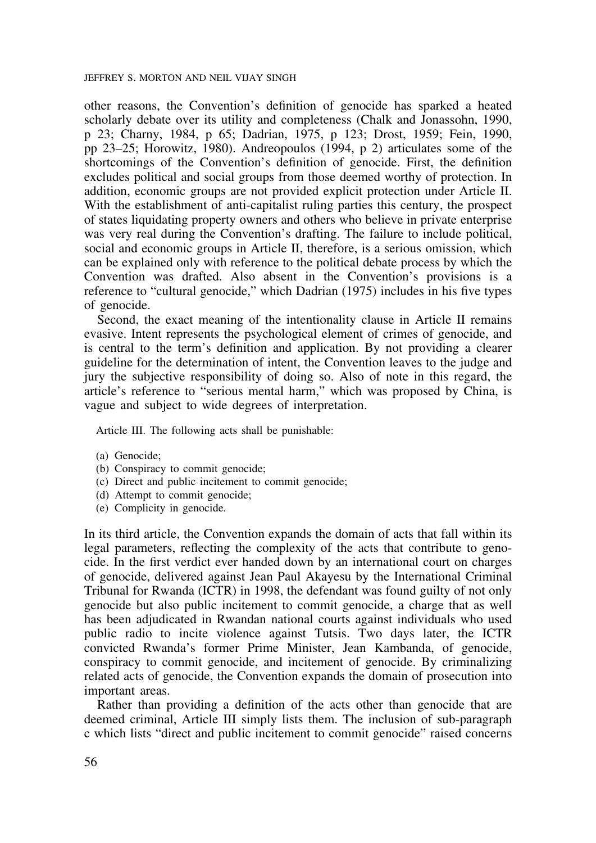other reasons, the Convention's definition of genocide has sparked a heated scholarly debate over its utility and completeness (Chalk and Jonassohn, 1990, p 23; Charny, 1984, p 65; Dadrian, 1975, p 123; Drost, 1959; Fein, 1990, pp 23–25; Horowitz, 1980). Andreopoulos (1994, p 2) articulates some of the shortcomings of the Convention's definition of genocide. First, the definition excludes political and social groups from those deemed worthy of protection. In addition, economic groups are not provided explicit protection under Article II. With the establishment of anti-capitalist ruling parties this century, the prospect of states liquidating property owners and others who believe in private enterprise was very real during the Convention's drafting. The failure to include political, social and economic groups in Article II, therefore, is a serious omission, which can be explained only with reference to the political debate process by which the Convention was drafted. Also absent in the Convention's provisions is a reference to "cultural genocide," which Dadrian (1975) includes in his five types of genocide.

Second, the exact meaning of the intentionality clause in Article II remains evasive. Intent represents the psychological element of crimes of genocide, and is central to the term's definition and application. By not providing a clearer guideline for the determination of intent, the Convention leaves to the judge and jury the subjective responsibility of doing so. Also of note in this regard, the article's reference to "serious mental harm," which was proposed by China, is vague and subject to wide degrees of interpretation.

Article III. The following acts shall be punishable:

- (a) Genocide;
- (b) Conspiracy to commit genocide;
- (c) Direct and public incitement to commit genocide;
- (d) Attempt to commit genocide;
- (e) Complicity in genocide.

In its third article, the Convention expands the domain of acts that fall within its legal parameters, reflecting the complexity of the acts that contribute to genocide. In the first verdict ever handed down by an international court on charges of genocide, delivered against Jean Paul Akayesu by the International Criminal Tribunal for Rwanda (ICTR) in 1998, the defendant was found guilty of not only genocide but also public incitement to commit genocide, a charge that as well has been adjudicated in Rwandan national courts against individuals who used public radio to incite violence against Tutsis. Two days later, the ICTR convicted Rwanda's former Prime Minister, Jean Kambanda, of genocide, conspiracy to commit genocide, and incitement of genocide. By criminalizing related acts of genocide, the Convention expands the domain of prosecution into important areas.

Rather than providing a definition of the acts other than genocide that are deemed criminal, Article III simply lists them. The inclusion of sub-paragraph c which lists "direct and public incitement to commit genocide" raised concerns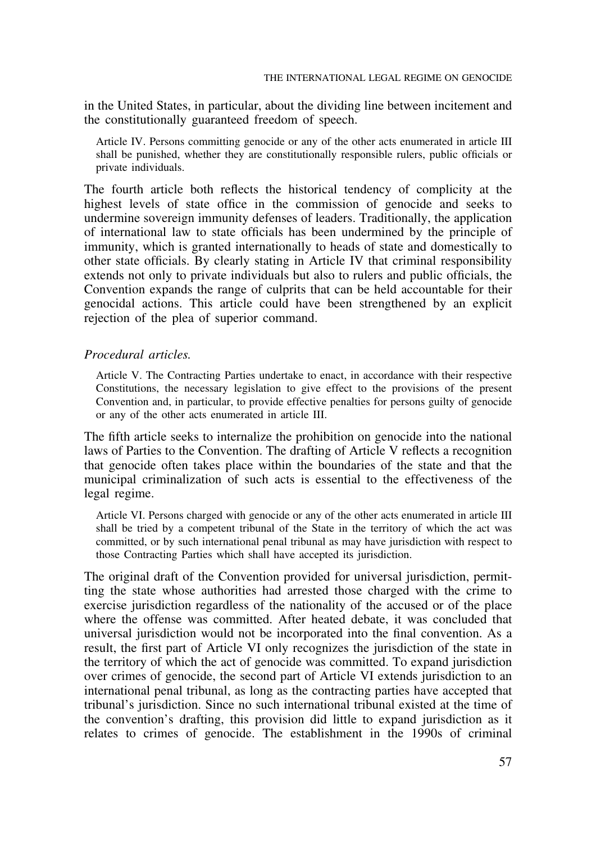in the United States, in particular, about the dividing line between incitement and the constitutionally guaranteed freedom of speech.

Article IV. Persons committing genocide or any of the other acts enumerated in article III shall be punished, whether they are constitutionally responsible rulers, public officials or private individuals.

The fourth article both reflects the historical tendency of complicity at the highest levels of state office in the commission of genocide and seeks to undermine sovereign immunity defenses of leaders. Traditionally, the application of international law to state officials has been undermined by the principle of immunity, which is granted internationally to heads of state and domestically to other state officials. By clearly stating in Article IV that criminal responsibility extends not only to private individuals but also to rulers and public officials, the Convention expands the range of culprits that can be held accountable for their genocidal actions. This article could have been strengthened by an explicit rejection of the plea of superior command.

## *Procedural articles.*

Article V. The Contracting Parties undertake to enact, in accordance with their respective Constitutions, the necessary legislation to give effect to the provisions of the present Convention and, in particular, to provide effective penalties for persons guilty of genocide or any of the other acts enumerated in article III.

The fifth article seeks to internalize the prohibition on genocide into the national laws of Parties to the Convention. The drafting of Article V reflects a recognition that genocide often takes place within the boundaries of the state and that the municipal criminalization of such acts is essential to the effectiveness of the legal regime.

Article VI. Persons charged with genocide or any of the other acts enumerated in article III shall be tried by a competent tribunal of the State in the territory of which the act was committed, or by such international penal tribunal as may have jurisdiction with respect to those Contracting Parties which shall have accepted its jurisdiction.

The original draft of the Convention provided for universal jurisdiction, permitting the state whose authorities had arrested those charged with the crime to exercise jurisdiction regardless of the nationality of the accused or of the place where the offense was committed. After heated debate, it was concluded that universal jurisdiction would not be incorporated into the final convention. As a result, the first part of Article VI only recognizes the jurisdiction of the state in the territory of which the act of genocide was committed. To expand jurisdiction over crimes of genocide, the second part of Article VI extends jurisdiction to an international penal tribunal, as long as the contracting parties have accepted that tribunal's jurisdiction. Since no such international tribunal existed at the time of the convention's drafting, this provision did little to expand jurisdiction as it relates to crimes of genocide. The establishment in the 1990s of criminal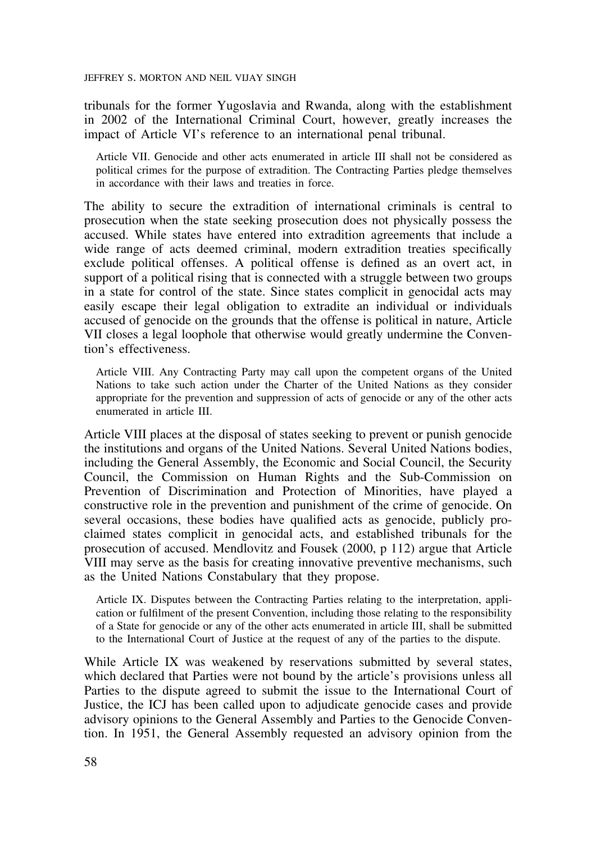tribunals for the former Yugoslavia and Rwanda, along with the establishment in 2002 of the International Criminal Court, however, greatly increases the impact of Article VI's reference to an international penal tribunal.

Article VII. Genocide and other acts enumerated in article III shall not be considered as political crimes for the purpose of extradition. The Contracting Parties pledge themselves in accordance with their laws and treaties in force.

The ability to secure the extradition of international criminals is central to prosecution when the state seeking prosecution does not physically possess the accused. While states have entered into extradition agreements that include a wide range of acts deemed criminal, modern extradition treaties specifically exclude political offenses. A political offense is defined as an overt act, in support of a political rising that is connected with a struggle between two groups in a state for control of the state. Since states complicit in genocidal acts may easily escape their legal obligation to extradite an individual or individuals accused of genocide on the grounds that the offense is political in nature, Article VII closes a legal loophole that otherwise would greatly undermine the Convention's effectiveness.

Article VIII. Any Contracting Party may call upon the competent organs of the United Nations to take such action under the Charter of the United Nations as they consider appropriate for the prevention and suppression of acts of genocide or any of the other acts enumerated in article III.

Article VIII places at the disposal of states seeking to prevent or punish genocide the institutions and organs of the United Nations. Several United Nations bodies, including the General Assembly, the Economic and Social Council, the Security Council, the Commission on Human Rights and the Sub-Commission on Prevention of Discrimination and Protection of Minorities, have played a constructive role in the prevention and punishment of the crime of genocide. On several occasions, these bodies have qualified acts as genocide, publicly proclaimed states complicit in genocidal acts, and established tribunals for the prosecution of accused. Mendlovitz and Fousek (2000, p 112) argue that Article VIII may serve as the basis for creating innovative preventive mechanisms, such as the United Nations Constabulary that they propose.

Article IX. Disputes between the Contracting Parties relating to the interpretation, application or fulfilment of the present Convention, including those relating to the responsibility of a State for genocide or any of the other acts enumerated in article III, shall be submitted to the International Court of Justice at the request of any of the parties to the dispute.

While Article IX was weakened by reservations submitted by several states, which declared that Parties were not bound by the article's provisions unless all Parties to the dispute agreed to submit the issue to the International Court of Justice, the ICJ has been called upon to adjudicate genocide cases and provide advisory opinions to the General Assembly and Parties to the Genocide Convention. In 1951, the General Assembly requested an advisory opinion from the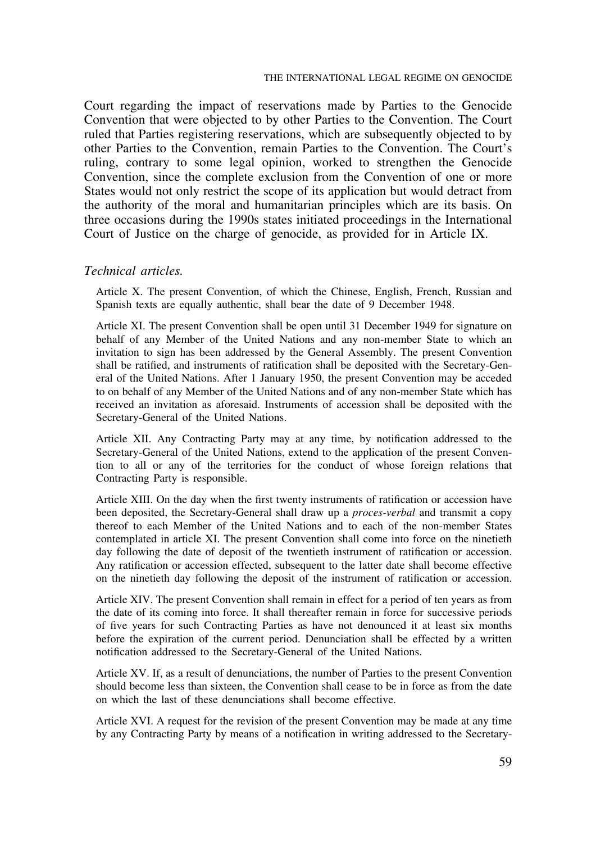Court regarding the impact of reservations made by Parties to the Genocide Convention that were objected to by other Parties to the Convention. The Court ruled that Parties registering reservations, which are subsequently objected to by other Parties to the Convention, remain Parties to the Convention. The Court's ruling, contrary to some legal opinion, worked to strengthen the Genocide Convention, since the complete exclusion from the Convention of one or more States would not only restrict the scope of its application but would detract from the authority of the moral and humanitarian principles which are its basis. On three occasions during the 1990s states initiated proceedings in the International Court of Justice on the charge of genocide, as provided for in Article IX.

## *Technical articles.*

Article X. The present Convention, of which the Chinese, English, French, Russian and Spanish texts are equally authentic, shall bear the date of 9 December 1948.

Article XI. The present Convention shall be open until 31 December 1949 for signature on behalf of any Member of the United Nations and any non-member State to which an invitation to sign has been addressed by the General Assembly. The present Convention shall be ratified, and instruments of ratification shall be deposited with the Secretary-General of the United Nations. After 1 January 1950, the present Convention may be acceded to on behalf of any Member of the United Nations and of any non-member State which has received an invitation as aforesaid. Instruments of accession shall be deposited with the Secretary-General of the United Nations.

Article XII. Any Contracting Party may at any time, by notification addressed to the Secretary-General of the United Nations, extend to the application of the present Convention to all or any of the territories for the conduct of whose foreign relations that Contracting Party is responsible.

Article XIII. On the day when the first twenty instruments of ratification or accession have been deposited, the Secretary-General shall draw up a *proces-verbal* and transmit a copy thereof to each Member of the United Nations and to each of the non-member States contemplated in article XI. The present Convention shall come into force on the ninetieth day following the date of deposit of the twentieth instrument of ratification or accession. Any ratification or accession effected, subsequent to the latter date shall become effective on the ninetieth day following the deposit of the instrument of ratification or accession.

Article XIV. The present Convention shall remain in effect for a period of ten years as from the date of its coming into force. It shall thereafter remain in force for successive periods of five years for such Contracting Parties as have not denounced it at least six months before the expiration of the current period. Denunciation shall be effected by a written notification addressed to the Secretary-General of the United Nations.

Article XV. If, as a result of denunciations, the number of Parties to the present Convention should become less than sixteen, the Convention shall cease to be in force as from the date on which the last of these denunciations shall become effective.

Article XVI. A request for the revision of the present Convention may be made at any time by any Contracting Party by means of a notification in writing addressed to the Secretary-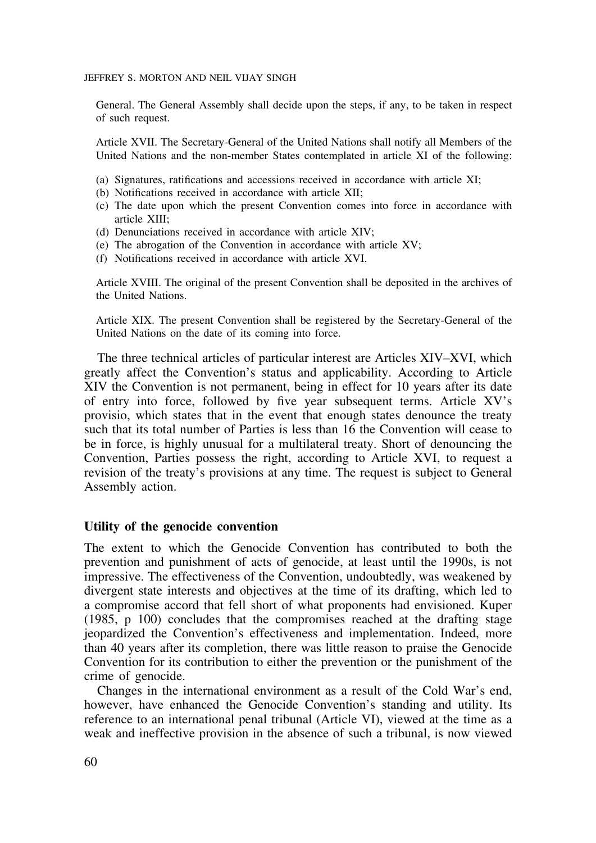General. The General Assembly shall decide upon the steps, if any, to be taken in respect of such request.

Article XVII. The Secretary-General of the United Nations shall notify all Members of the United Nations and the non-member States contemplated in article XI of the following:

- (a) Signatures, ratifications and accessions received in accordance with article XI;
- (b) Notifications received in accordance with article XII;
- (c) The date upon which the present Convention comes into force in accordance with article XIII;
- (d) Denunciations received in accordance with article XIV;
- (e) The abrogation of the Convention in accordance with article XV;
- (f) Notifications received in accordance with article XVI.

Article XVIII. The original of the present Convention shall be deposited in the archives of the United Nations.

Article XIX. The present Convention shall be registered by the Secretary-General of the United Nations on the date of its coming into force.

The three technical articles of particular interest are Articles XIV–XVI, which greatly affect the Convention's status and applicability. According to Article XIV the Convention is not permanent, being in effect for 10 years after its date of entry into force, followed by five year subsequent terms. Article XV's provisio, which states that in the event that enough states denounce the treaty such that its total number of Parties is less than 16 the Convention will cease to be in force, is highly unusual for a multilateral treaty. Short of denouncing the Convention, Parties possess the right, according to Article XVI, to request a revision of the treaty's provisions at any time. The request is subject to General Assembly action.

## **Utility of the genocide convention**

The extent to which the Genocide Convention has contributed to both the prevention and punishment of acts of genocide, at least until the 1990s, is not impressive. The effectiveness of the Convention, undoubtedly, was weakened by divergent state interests and objectives at the time of its drafting, which led to a compromise accord that fell short of what proponents had envisioned. Kuper (1985, p 100) concludes that the compromises reached at the drafting stage jeopardized the Convention's effectiveness and implementation. Indeed, more than 40 years after its completion, there was little reason to praise the Genocide Convention for its contribution to either the prevention or the punishment of the crime of genocide.

Changes in the international environment as a result of the Cold War's end, however, have enhanced the Genocide Convention's standing and utility. Its reference to an international penal tribunal (Article VI), viewed at the time as a weak and ineffective provision in the absence of such a tribunal, is now viewed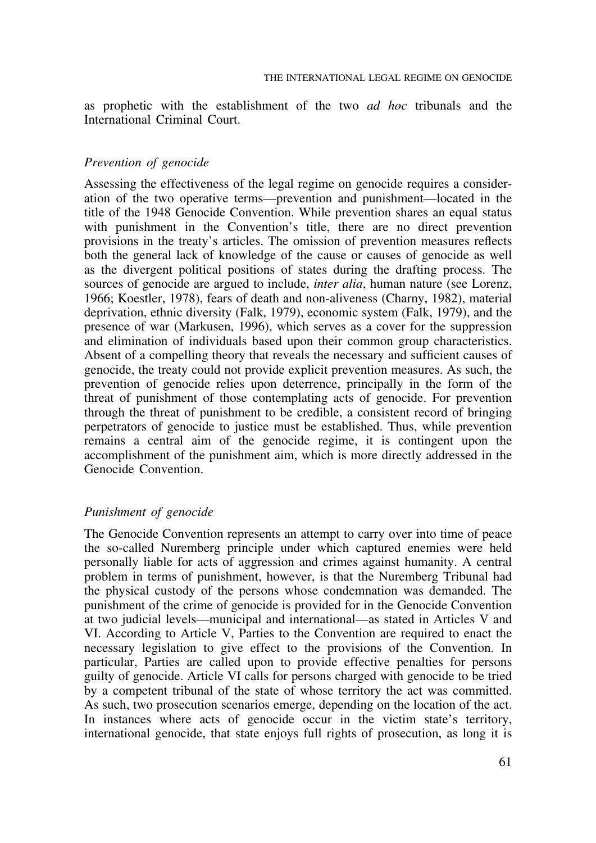as prophetic with the establishment of the two *ad hoc* tribunals and the International Criminal Court.

# *Prevention of genocide*

Assessing the effectiveness of the legal regime on genocide requires a consideration of the two operative terms—prevention and punishment—located in the title of the 1948 Genocide Convention. While prevention shares an equal status with punishment in the Convention's title, there are no direct prevention provisions in the treaty's articles. The omission of prevention measures reflects both the general lack of knowledge of the cause or causes of genocide as well as the divergent political positions of states during the drafting process. The sources of genocide are argued to include, *inter alia*, human nature (see Lorenz, 1966; Koestler, 1978), fears of death and non-aliveness (Charny, 1982), material deprivation, ethnic diversity (Falk, 1979), economic system (Falk, 1979), and the presence of war (Markusen, 1996), which serves as a cover for the suppression and elimination of individuals based upon their common group characteristics. Absent of a compelling theory that reveals the necessary and sufficient causes of genocide, the treaty could not provide explicit prevention measures. As such, the prevention of genocide relies upon deterrence, principally in the form of the threat of punishment of those contemplating acts of genocide. For prevention through the threat of punishment to be credible, a consistent record of bringing perpetrators of genocide to justice must be established. Thus, while prevention remains a central aim of the genocide regime, it is contingent upon the accomplishment of the punishment aim, which is more directly addressed in the Genocide Convention.

# *Punishment of genocide*

The Genocide Convention represents an attempt to carry over into time of peace the so-called Nuremberg principle under which captured enemies were held personally liable for acts of aggression and crimes against humanity. A central problem in terms of punishment, however, is that the Nuremberg Tribunal had the physical custody of the persons whose condemnation was demanded. The punishment of the crime of genocide is provided for in the Genocide Convention at two judicial levels—municipal and international—as stated in Articles V and VI. According to Article V, Parties to the Convention are required to enact the necessary legislation to give effect to the provisions of the Convention. In particular, Parties are called upon to provide effective penalties for persons guilty of genocide. Article VI calls for persons charged with genocide to be tried by a competent tribunal of the state of whose territory the act was committed. As such, two prosecution scenarios emerge, depending on the location of the act. In instances where acts of genocide occur in the victim state's territory, international genocide, that state enjoys full rights of prosecution, as long it is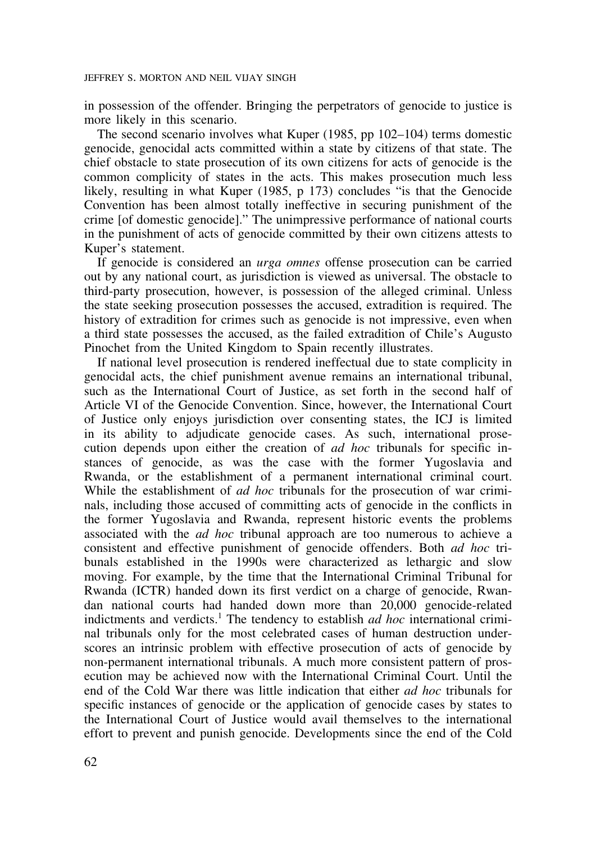in possession of the offender. Bringing the perpetrators of genocide to justice is more likely in this scenario.

The second scenario involves what Kuper (1985, pp 102–104) terms domestic genocide, genocidal acts committed within a state by citizens of that state. The chief obstacle to state prosecution of its own citizens for acts of genocide is the common complicity of states in the acts. This makes prosecution much less likely, resulting in what Kuper (1985, p 173) concludes "is that the Genocide Convention has been almost totally ineffective in securing punishment of the crime [of domestic genocide]." The unimpressive performance of national courts in the punishment of acts of genocide committed by their own citizens attests to Kuper's statement.

If genocide is considered an *urga omnes* offense prosecution can be carried out by any national court, as jurisdiction is viewed as universal. The obstacle to third-party prosecution, however, is possession of the alleged criminal. Unless the state seeking prosecution possesses the accused, extradition is required. The history of extradition for crimes such as genocide is not impressive, even when a third state possesses the accused, as the failed extradition of Chile's Augusto Pinochet from the United Kingdom to Spain recently illustrates.

If national level prosecution is rendered ineffectual due to state complicity in genocidal acts, the chief punishment avenue remains an international tribunal, such as the International Court of Justice, as set forth in the second half of Article VI of the Genocide Convention. Since, however, the International Court of Justice only enjoys jurisdiction over consenting states, the ICJ is limited in its ability to adjudicate genocide cases. As such, international prosecution depends upon either the creation of *ad hoc* tribunals for specific instances of genocide, as was the case with the former Yugoslavia and Rwanda, or the establishment of a permanent international criminal court. While the establishment of *ad hoc* tribunals for the prosecution of war criminals, including those accused of committing acts of genocide in the conflicts in the former Yugoslavia and Rwanda, represent historic events the problems associated with the *ad hoc* tribunal approach are too numerous to achieve a consistent and effective punishment of genocide offenders. Both *ad hoc* tribunals established in the 1990s were characterized as lethargic and slow moving. For example, by the time that the International Criminal Tribunal for Rwanda (ICTR) handed down its first verdict on a charge of genocide, Rwandan national courts had handed down more than 20,000 genocide-related indictments and verdicts.<sup>1</sup> The tendency to establish *ad hoc* international criminal tribunals only for the most celebrated cases of human destruction underscores an intrinsic problem with effective prosecution of acts of genocide by non-permanent international tribunals. A much more consistent pattern of prosecution may be achieved now with the International Criminal Court. Until the end of the Cold War there was little indication that either *ad hoc* tribunals for specific instances of genocide or the application of genocide cases by states to the International Court of Justice would avail themselves to the international effort to prevent and punish genocide. Developments since the end of the Cold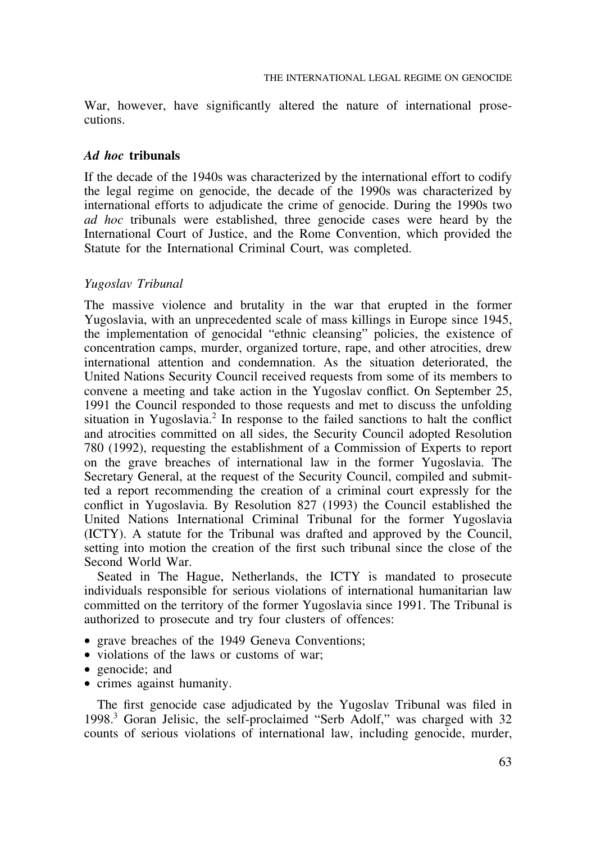War, however, have significantly altered the nature of international prosecutions.

## *Ad hoc* **tribunals**

If the decade of the 1940s was characterized by the international effort to codify the legal regime on genocide, the decade of the 1990s was characterized by international efforts to adjudicate the crime of genocide. During the 1990s two *ad hoc* tribunals were established, three genocide cases were heard by the International Court of Justice, and the Rome Convention, which provided the Statute for the International Criminal Court, was completed.

# *Yugoslav Tribunal*

The massive violence and brutality in the war that erupted in the former Yugoslavia, with an unprecedented scale of mass killings in Europe since 1945, the implementation of genocidal "ethnic cleansing" policies, the existence of concentration camps, murder, organized torture, rape, and other atrocities, drew international attention and condemnation. As the situation deteriorated, the United Nations Security Council received requests from some of its members to convene a meeting and take action in the Yugoslav conflict. On September 25, 1991 the Council responded to those requests and met to discuss the unfolding situation in Yugoslavia.<sup>2</sup> In response to the failed sanctions to halt the conflict and atrocities committed on all sides, the Security Council adopted Resolution 780 (1992), requesting the establishment of a Commission of Experts to report on the grave breaches of international law in the former Yugoslavia. The Secretary General, at the request of the Security Council, compiled and submitted a report recommending the creation of a criminal court expressly for the conflict in Yugoslavia. By Resolution 827 (1993) the Council established the United Nations International Criminal Tribunal for the former Yugoslavia (ICTY). A statute for the Tribunal was drafted and approved by the Council, setting into motion the creation of the first such tribunal since the close of the Second World War.

Seated in The Hague, Netherlands, the ICTY is mandated to prosecute individuals responsible for serious violations of international humanitarian law committed on the territory of the former Yugoslavia since 1991. The Tribunal is authorized to prosecute and try four clusters of offences:

- grave breaches of the 1949 Geneva Conventions;
- violations of the laws or customs of war;
- genocide; and
- crimes against humanity.

The first genocide case adjudicated by the Yugoslav Tribunal was filed in 1998.3 Goran Jelisic, the self-proclaimed "Serb Adolf," was charged with 32 counts of serious violations of international law, including genocide, murder,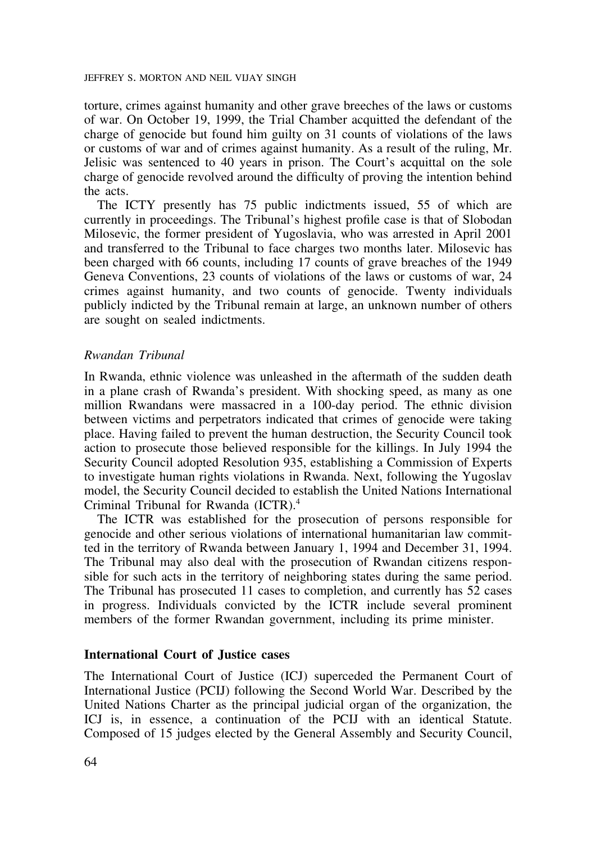torture, crimes against humanity and other grave breeches of the laws or customs of war. On October 19, 1999, the Trial Chamber acquitted the defendant of the charge of genocide but found him guilty on 31 counts of violations of the laws or customs of war and of crimes against humanity. As a result of the ruling, Mr. Jelisic was sentenced to 40 years in prison. The Court's acquittal on the sole charge of genocide revolved around the difficulty of proving the intention behind the acts.

The ICTY presently has 75 public indictments issued, 55 of which are currently in proceedings. The Tribunal's highest profile case is that of Slobodan Milosevic, the former president of Yugoslavia, who was arrested in April 2001 and transferred to the Tribunal to face charges two months later. Milosevic has been charged with 66 counts, including 17 counts of grave breaches of the 1949 Geneva Conventions, 23 counts of violations of the laws or customs of war, 24 crimes against humanity, and two counts of genocide. Twenty individuals publicly indicted by the Tribunal remain at large, an unknown number of others are sought on sealed indictments.

## *Rwandan Tribunal*

In Rwanda, ethnic violence was unleashed in the aftermath of the sudden death in a plane crash of Rwanda's president. With shocking speed, as many as one million Rwandans were massacred in a 100-day period. The ethnic division between victims and perpetrators indicated that crimes of genocide were taking place. Having failed to prevent the human destruction, the Security Council took action to prosecute those believed responsible for the killings. In July 1994 the Security Council adopted Resolution 935, establishing a Commission of Experts to investigate human rights violations in Rwanda. Next, following the Yugoslav model, the Security Council decided to establish the United Nations International Criminal Tribunal for Rwanda (ICTR).<sup>4</sup>

The ICTR was established for the prosecution of persons responsible for genocide and other serious violations of international humanitarian law committed in the territory of Rwanda between January 1, 1994 and December 31, 1994. The Tribunal may also deal with the prosecution of Rwandan citizens responsible for such acts in the territory of neighboring states during the same period. The Tribunal has prosecuted 11 cases to completion, and currently has 52 cases in progress. Individuals convicted by the ICTR include several prominent members of the former Rwandan government, including its prime minister.

# **International Court of Justice cases**

The International Court of Justice (ICJ) superceded the Permanent Court of International Justice (PCIJ) following the Second World War. Described by the United Nations Charter as the principal judicial organ of the organization, the ICJ is, in essence, a continuation of the PCIJ with an identical Statute. Composed of 15 judges elected by the General Assembly and Security Council,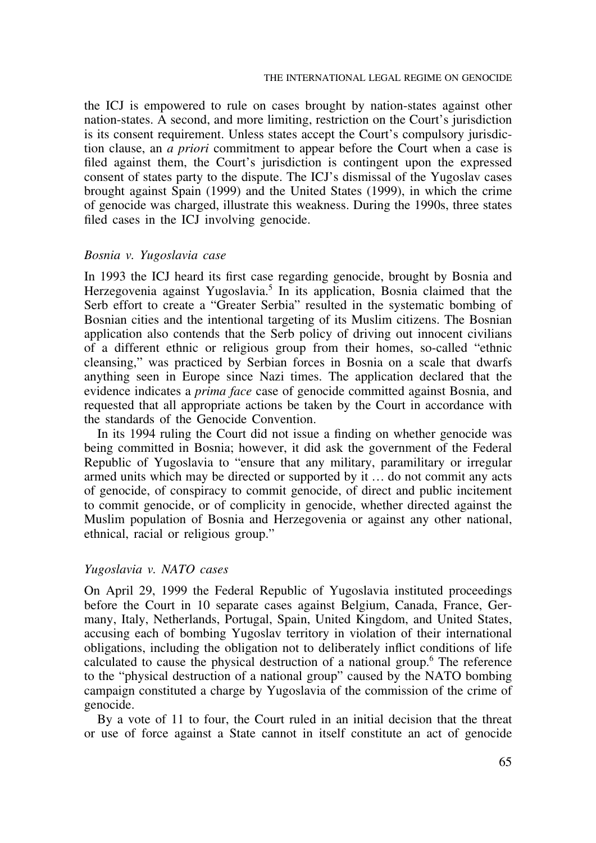the ICJ is empowered to rule on cases brought by nation-states against other nation-states. A second, and more limiting, restriction on the Court's jurisdiction is its consent requirement. Unless states accept the Court's compulsory jurisdiction clause, an *a priori* commitment to appear before the Court when a case is filed against them, the Court's jurisdiction is contingent upon the expressed consent of states party to the dispute. The ICJ's dismissal of the Yugoslav cases brought against Spain (1999) and the United States (1999), in which the crime of genocide was charged, illustrate this weakness. During the 1990s, three states filed cases in the ICJ involving genocide.

## *Bosnia v. Yugoslavia case*

In 1993 the ICJ heard its first case regarding genocide, brought by Bosnia and Herzegovenia against Yugoslavia.<sup>5</sup> In its application, Bosnia claimed that the Serb effort to create a "Greater Serbia" resulted in the systematic bombing of Bosnian cities and the intentional targeting of its Muslim citizens. The Bosnian application also contends that the Serb policy of driving out innocent civilians of a different ethnic or religious group from their homes, so-called "ethnic cleansing," was practiced by Serbian forces in Bosnia on a scale that dwarfs anything seen in Europe since Nazi times. The application declared that the evidence indicates a *prima face* case of genocide committed against Bosnia, and requested that all appropriate actions be taken by the Court in accordance with the standards of the Genocide Convention.

In its 1994 ruling the Court did not issue a finding on whether genocide was being committed in Bosnia; however, it did ask the government of the Federal Republic of Yugoslavia to "ensure that any military, paramilitary or irregular armed units which may be directed or supported by it … do not commit any acts of genocide, of conspiracy to commit genocide, of direct and public incitement to commit genocide, or of complicity in genocide, whether directed against the Muslim population of Bosnia and Herzegovenia or against any other national, ethnical, racial or religious group."

# *Yugoslavia v. NATO cases*

On April 29, 1999 the Federal Republic of Yugoslavia instituted proceedings before the Court in 10 separate cases against Belgium, Canada, France, Germany, Italy, Netherlands, Portugal, Spain, United Kingdom, and United States, accusing each of bombing Yugoslav territory in violation of their international obligations, including the obligation not to deliberately inflict conditions of life calculated to cause the physical destruction of a national group.<sup>6</sup> The reference to the "physical destruction of a national group" caused by the NATO bombing campaign constituted a charge by Yugoslavia of the commission of the crime of genocide.

By a vote of 11 to four, the Court ruled in an initial decision that the threat or use of force against a State cannot in itself constitute an act of genocide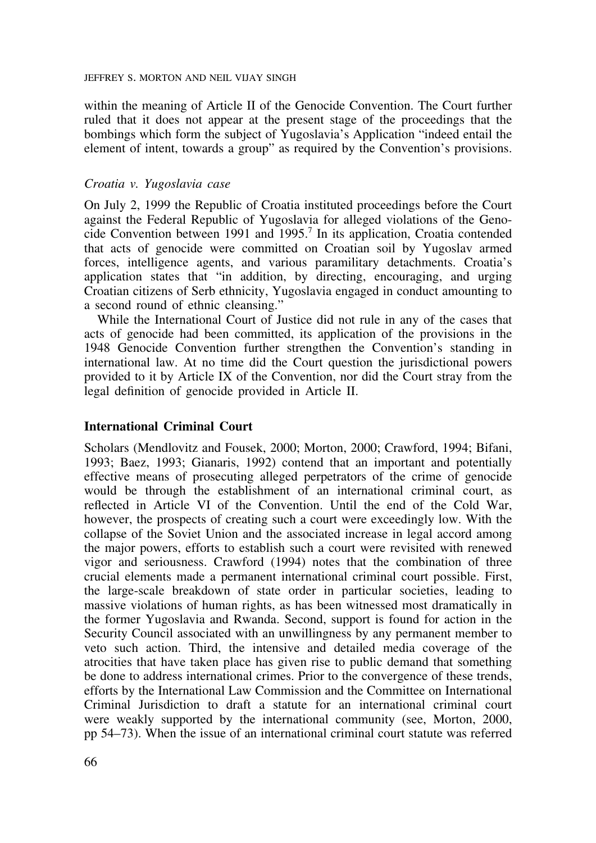within the meaning of Article II of the Genocide Convention. The Court further ruled that it does not appear at the present stage of the proceedings that the bombings which form the subject of Yugoslavia's Application "indeed entail the element of intent, towards a group" as required by the Convention's provisions.

## *Croatia v. Yugoslavia case*

On July 2, 1999 the Republic of Croatia instituted proceedings before the Court against the Federal Republic of Yugoslavia for alleged violations of the Genocide Convention between 1991 and 1995.<sup>7</sup> In its application, Croatia contended that acts of genocide were committed on Croatian soil by Yugoslav armed forces, intelligence agents, and various paramilitary detachments. Croatia's application states that "in addition, by directing, encouraging, and urging Croatian citizens of Serb ethnicity, Yugoslavia engaged in conduct amounting to a second round of ethnic cleansing."

While the International Court of Justice did not rule in any of the cases that acts of genocide had been committed, its application of the provisions in the 1948 Genocide Convention further strengthen the Convention's standing in international law. At no time did the Court question the jurisdictional powers provided to it by Article IX of the Convention, nor did the Court stray from the legal definition of genocide provided in Article II.

## **International Criminal Court**

Scholars (Mendlovitz and Fousek, 2000; Morton, 2000; Crawford, 1994; Bifani, 1993; Baez, 1993; Gianaris, 1992) contend that an important and potentially effective means of prosecuting alleged perpetrators of the crime of genocide would be through the establishment of an international criminal court, as reflected in Article VI of the Convention. Until the end of the Cold War, however, the prospects of creating such a court were exceedingly low. With the collapse of the Soviet Union and the associated increase in legal accord among the major powers, efforts to establish such a court were revisited with renewed vigor and seriousness. Crawford (1994) notes that the combination of three crucial elements made a permanent international criminal court possible. First, the large-scale breakdown of state order in particular societies, leading to massive violations of human rights, as has been witnessed most dramatically in the former Yugoslavia and Rwanda. Second, support is found for action in the Security Council associated with an unwillingness by any permanent member to veto such action. Third, the intensive and detailed media coverage of the atrocities that have taken place has given rise to public demand that something be done to address international crimes. Prior to the convergence of these trends, efforts by the International Law Commission and the Committee on International Criminal Jurisdiction to draft a statute for an international criminal court were weakly supported by the international community (see, Morton, 2000, pp 54–73). When the issue of an international criminal court statute was referred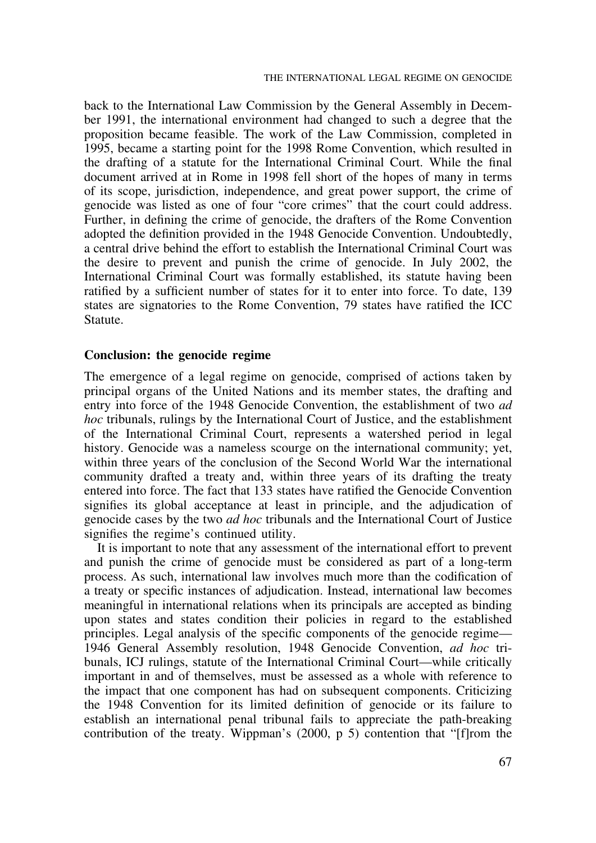back to the International Law Commission by the General Assembly in December 1991, the international environment had changed to such a degree that the proposition became feasible. The work of the Law Commission, completed in 1995, became a starting point for the 1998 Rome Convention, which resulted in the drafting of a statute for the International Criminal Court. While the final document arrived at in Rome in 1998 fell short of the hopes of many in terms of its scope, jurisdiction, independence, and great power support, the crime of genocide was listed as one of four "core crimes" that the court could address. Further, in defining the crime of genocide, the drafters of the Rome Convention adopted the definition provided in the 1948 Genocide Convention. Undoubtedly, a central drive behind the effort to establish the International Criminal Court was the desire to prevent and punish the crime of genocide. In July 2002, the International Criminal Court was formally established, its statute having been ratified by a sufficient number of states for it to enter into force. To date, 139 states are signatories to the Rome Convention, 79 states have ratified the ICC Statute.

# **Conclusion: the genocide regime**

The emergence of a legal regime on genocide, comprised of actions taken by principal organs of the United Nations and its member states, the drafting and entry into force of the 1948 Genocide Convention, the establishment of two *ad hoc* tribunals, rulings by the International Court of Justice, and the establishment of the International Criminal Court, represents a watershed period in legal history. Genocide was a nameless scourge on the international community; yet, within three years of the conclusion of the Second World War the international community drafted a treaty and, within three years of its drafting the treaty entered into force. The fact that 133 states have ratified the Genocide Convention signifies its global acceptance at least in principle, and the adjudication of genocide cases by the two *ad hoc* tribunals and the International Court of Justice signifies the regime's continued utility.

It is important to note that any assessment of the international effort to prevent and punish the crime of genocide must be considered as part of a long-term process. As such, international law involves much more than the codification of a treaty or specific instances of adjudication. Instead, international law becomes meaningful in international relations when its principals are accepted as binding upon states and states condition their policies in regard to the established principles. Legal analysis of the specific components of the genocide regime— 1946 General Assembly resolution, 1948 Genocide Convention, *ad hoc* tribunals, ICJ rulings, statute of the International Criminal Court—while critically important in and of themselves, must be assessed as a whole with reference to the impact that one component has had on subsequent components. Criticizing the 1948 Convention for its limited definition of genocide or its failure to establish an international penal tribunal fails to appreciate the path-breaking contribution of the treaty. Wippman's  $(2000, p 5)$  contention that "[f]rom the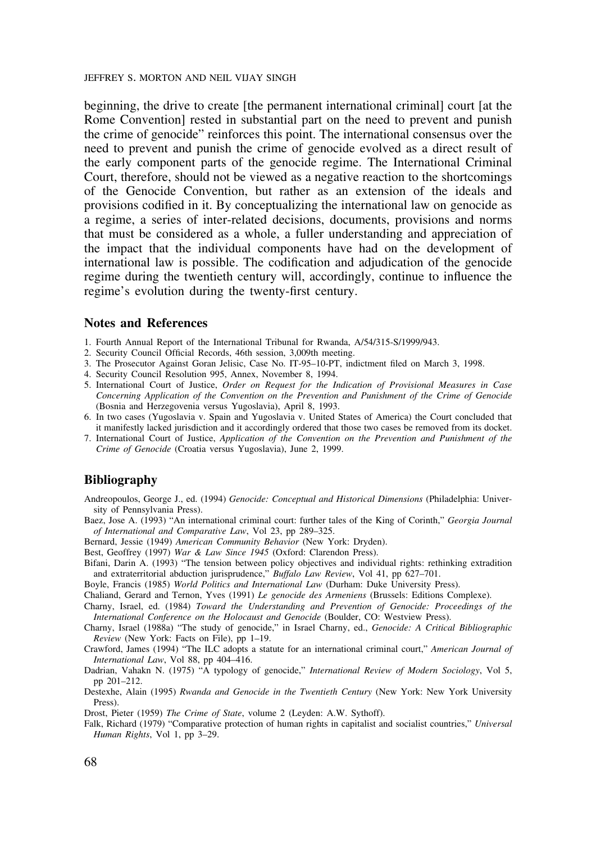beginning, the drive to create [the permanent international criminal] court [at the Rome Convention] rested in substantial part on the need to prevent and punish the crime of genocide" reinforces this point. The international consensus over the need to prevent and punish the crime of genocide evolved as a direct result of the early component parts of the genocide regime. The International Criminal Court, therefore, should not be viewed as a negative reaction to the shortcomings of the Genocide Convention, but rather as an extension of the ideals and provisions codified in it. By conceptualizing the international law on genocide as a regime, a series of inter-related decisions, documents, provisions and norms that must be considered as a whole, a fuller understanding and appreciation of the impact that the individual components have had on the development of international law is possible. The codification and adjudication of the genocide regime during the twentieth century will, accordingly, continue to influence the regime's evolution during the twenty-first century.

## **Notes and References**

- 1. Fourth Annual Report of the International Tribunal for Rwanda, A/54/315-S/1999/943.
- 2. Security Council Official Records, 46th session, 3,009th meeting.
- 3. The Prosecutor Against Goran Jelisic, Case No. IT-95–10-PT, indictment filed on March 3, 1998.
- 4. Security Council Resolution 995, Annex, November 8, 1994.
- 5. International Court of Justice, *Order on Request for the Indication of Provisional Measures in Case Concerning Application of the Convention on the Prevention and Punishment of the Crime of Genocide* (Bosnia and Herzegovenia versus Yugoslavia), April 8, 1993.
- 6. In two cases (Yugoslavia v. Spain and Yugoslavia v. United States of America) the Court concluded that it manifestly lacked jurisdiction and it accordingly ordered that those two cases be removed from its docket.
- 7. International Court of Justice, *Application of the Convention on the Prevention and Punishment of the Crime of Genocide* (Croatia versus Yugoslavia), June 2, 1999.

# **Bibliography**

Andreopoulos, George J., ed. (1994) *Genocide: Conceptual and Historical Dimensions* (Philadelphia: University of Pennsylvania Press).

Baez, Jose A. (1993) "An international criminal court: further tales of the King of Corinth," *Georgia Journal of International and Comparative Law*, Vol 23, pp 289–325.

Bernard, Jessie (1949) *American Community Behavior* (New York: Dryden).

Best, Geoffrey (1997) *War & Law Since 1945* (Oxford: Clarendon Press).

- Bifani, Darin A. (1993) "The tension between policy objectives and individual rights: rethinking extradition and extraterritorial abduction jurisprudence," *Buffalo Law Review*, Vol 41, pp 627–701.
- Boyle, Francis (1985) *World Politics and International Law* (Durham: Duke University Press).

Chaliand, Gerard and Ternon, Yves (1991) *Le genocide des Armeniens* (Brussels: Editions Complexe).

Charny, Israel, ed. (1984) *Toward the Understanding and Prevention of Genocide: Proceedings of the International Conference on the Holocaust and Genocide* (Boulder, CO: Westview Press).

Charny, Israel (1988a) "The study of genocide," in Israel Charny, ed., *Genocide: A Critical Bibliographic Review* (New York: Facts on File), pp 1–19.

- Crawford, James (1994) "The ILC adopts a statute for an international criminal court," *American Journal of International Law*, Vol 88, pp 404–416.
- Dadrian, Vahakn N. (1975) "A typology of genocide," *International Review of Modern Sociology*, Vol 5, pp 201–212.
- Destexhe, Alain (1995) *Rwanda and Genocide in the Twentieth Century* (New York: New York University Press).

Drost, Pieter (1959) *The Crime of State*, volume 2 (Leyden: A.W. Sythoff).

Falk, Richard (1979) "Comparative protection of human rights in capitalist and socialist countries," *Universal Human Rights*, Vol 1, pp 3–29.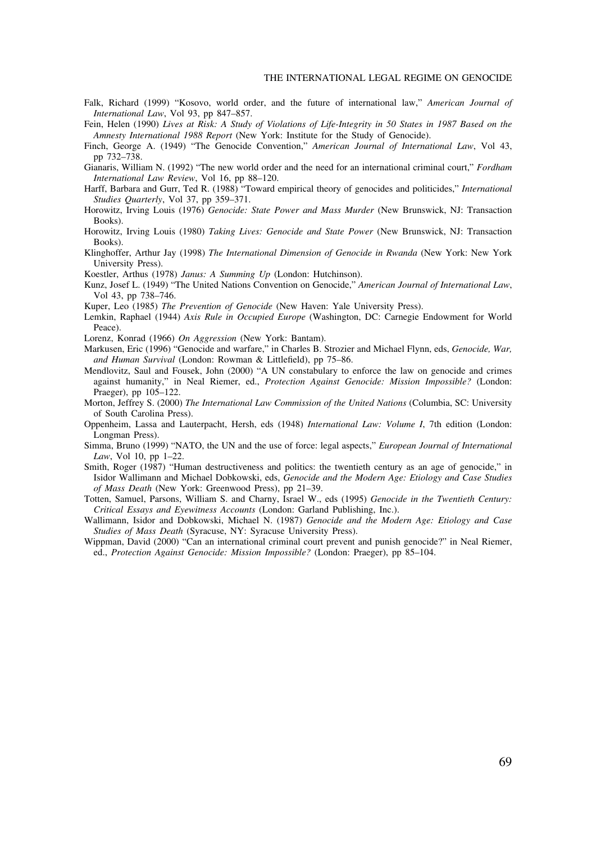- Falk, Richard (1999) "Kosovo, world order, and the future of international law," *American Journal of International Law*, Vol 93, pp 847–857.
- Fein, Helen (1990) *Lives at Risk: A Study of Violations of Life-Integrity in 50 States in 1987 Based on the Amnesty International 1988 Report* (New York: Institute for the Study of Genocide).
- Finch, George A. (1949) "The Genocide Convention," *American Journal of International Law*, Vol 43, pp 732–738.
- Gianaris, William N. (1992) "The new world order and the need for an international criminal court," *Fordham International Law Review*, Vol 16, pp 88–120.
- Harff, Barbara and Gurr, Ted R. (1988) "Toward empirical theory of genocides and politicides," *International Studies Quarterly*, Vol 37, pp 359–371.
- Horowitz, Irving Louis (1976) *Genocide: State Power and Mass Murder* (New Brunswick, NJ: Transaction Books).
- Horowitz, Irving Louis (1980) *Taking Lives: Genocide and State Power* (New Brunswick, NJ: Transaction Books).
- Klinghoffer, Arthur Jay (1998) *The International Dimension of Genocide in Rwanda* (New York: New York University Press).
- Koestler, Arthus (1978) *Janus: A Summing Up* (London: Hutchinson).
- Kunz, Josef L. (1949) "The United Nations Convention on Genocide," *American Journal of International Law*, Vol 43, pp 738–746.
- Kuper, Leo (1985) *The Prevention of Genocide* (New Haven: Yale University Press).
- Lemkin, Raphael (1944) *Axis Rule in Occupied Europe* (Washington, DC: Carnegie Endowment for World Peace).
- Lorenz, Konrad (1966) *On Aggression* (New York: Bantam).
- Markusen, Eric (1996) "Genocide and warfare," in Charles B. Strozier and Michael Flynn, eds, *Genocide, War, and Human Survival* (London: Rowman & Littlefield), pp 75–86.
- Mendlovitz, Saul and Fousek, John (2000) "A UN constabulary to enforce the law on genocide and crimes against humanity," in Neal Riemer, ed., *Protection Against Genocide: Mission Impossible?* (London: Praeger), pp 105–122.
- Morton, Jeffrey S. (2000) *The International Law Commission of the United Nations* (Columbia, SC: University of South Carolina Press).
- Oppenheim, Lassa and Lauterpacht, Hersh, eds (1948) *International Law: Volume I*, 7th edition (London: Longman Press).
- Simma, Bruno (1999) "NATO, the UN and the use of force: legal aspects," *European Journal of International Law*, Vol 10, pp 1–22.
- Smith, Roger (1987) "Human destructiveness and politics: the twentieth century as an age of genocide," in Isidor Wallimann and Michael Dobkowski, eds, *Genocide and the Modern Age: Etiology and Case Studies of Mass Death* (New York: Greenwood Press), pp 21–39.
- Totten, Samuel, Parsons, William S. and Charny, Israel W., eds (1995) *Genocide in the Twentieth Century: Critical Essays and Eyewitness Accounts* (London: Garland Publishing, Inc.).
- Wallimann, Isidor and Dobkowski, Michael N. (1987) *Genocide and the Modern Age: Etiology and Case Studies of Mass Death* (Syracuse, NY: Syracuse University Press).
- Wippman, David (2000) "Can an international criminal court prevent and punish genocide?" in Neal Riemer, ed., *Protection Against Genocide: Mission Impossible?* (London: Praeger), pp 85–104.